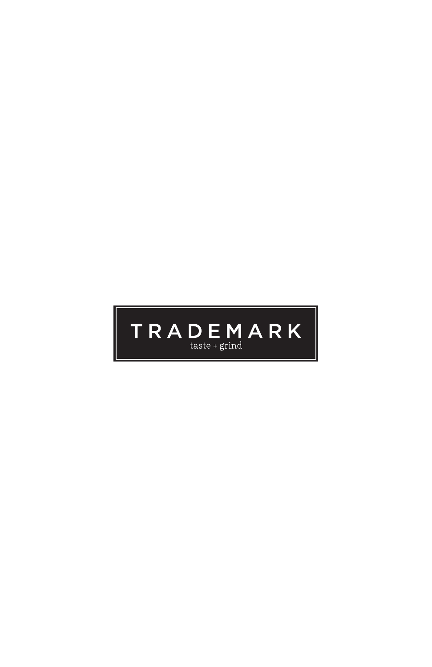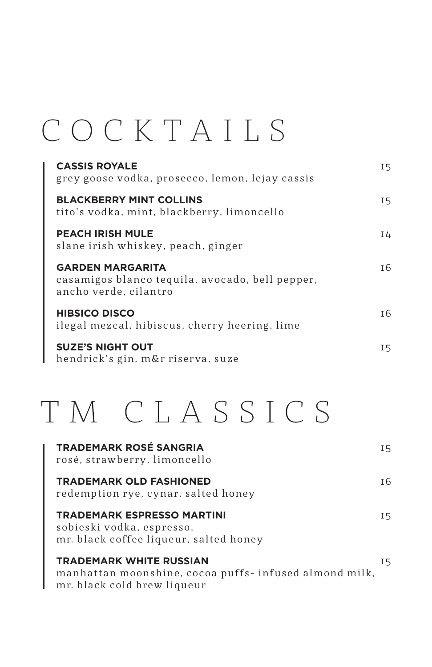### COCKTAILS

| <b>CASSIS ROYALE</b><br>grey goose vodka, prosecco, lemon, lejay cassis                             | I 5 |
|-----------------------------------------------------------------------------------------------------|-----|
| <b>BLACKBERRY MINT COLLINS</b><br>tito's vodka, mint, blackberry, limoncello                        | I 5 |
| <b>PEACH IRISH MULE</b><br>slane irish whiskey, peach, ginger                                       | I 4 |
| <b>GARDEN MARGARITA</b><br>casamigos blanco tequila, avocado, bell pepper,<br>ancho verde, cilantro | T 6 |
| <b>HIBSICO DISCO</b><br>ilegal mezcal, hibiscus, cherry heering, lime                               | T 6 |
| <b>SUZE'S NIGHT OUT</b><br>hendrick's gin, m&r riserva, suze                                        | I 5 |

### TM CLASSICS

| <b>TRADEMARK ROSÉ SANGRIA</b><br>rosé, strawberry, limoncello                                                           | I5  |
|-------------------------------------------------------------------------------------------------------------------------|-----|
| <b>TRADEMARK OLD FASHIONED</b><br>redemption rye, cynar, salted honey                                                   | I 6 |
| <b>TRADEMARK ESPRESSO MARTINI</b><br>sobieski vodka, espresso,<br>mr. black coffee liqueur, salted honey                | I5  |
| <b>TRADEMARK WHITE RUSSIAN</b><br>manhattan moonshine, cocoa puffs- infused almond milk,<br>mr. black cold brew liqueur | 15  |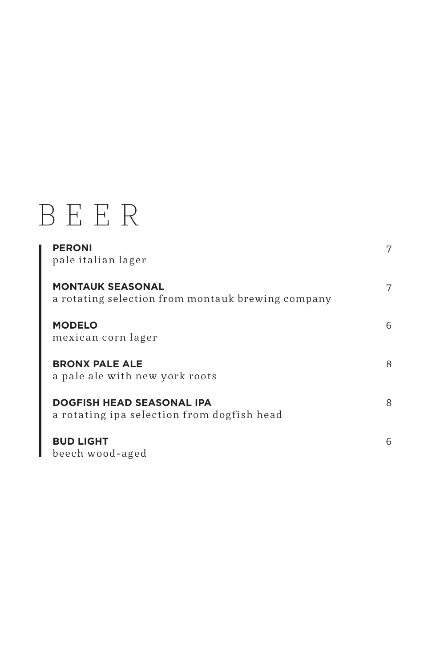### BEER

| <b>PERONI</b><br>pale italian lager                                            | 7 |
|--------------------------------------------------------------------------------|---|
| <b>MONTAUK SEASONAL</b><br>a rotating selection from montauk brewing company   | 7 |
| <b>MODELO</b><br>mexican corn lager                                            | 6 |
| <b>BRONX PALE ALE</b><br>a pale ale with new york roots                        | 8 |
| <b>DOGFISH HEAD SEASONAL IPA</b><br>a rotating ipa selection from dogfish head | 8 |
| <b>BUD LIGHT</b><br>beech wood-aged                                            | 6 |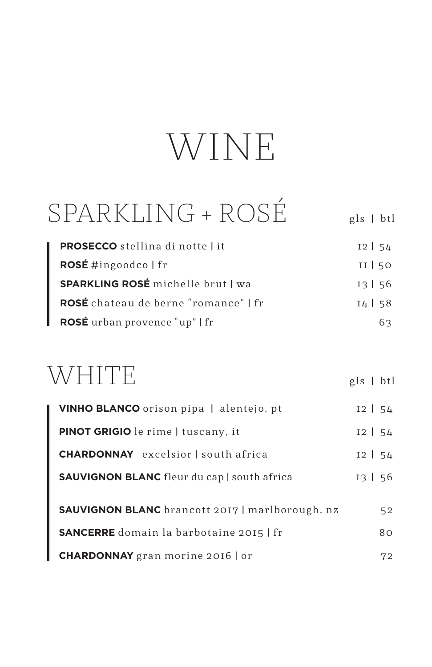## WINE

#### SPARKLING + ROSÉ gls | btl

| <b>PROSECCO</b> stellina di notte   it   | $12$ 54 |
|------------------------------------------|---------|
| ROSÉ #ingoodco   fr                      | $II$ 50 |
| <b>SPARKLING ROSÉ</b> michelle brut   wa | 13156   |
| ROSÉ chateau de berne "romance"   fr     | $14$ 58 |
| ROSÉ urban provence "up"   fr            | 63      |

#### WHITE

| VINHO BLANCO orison pipa   alentejo, pt                | $12$   54 |
|--------------------------------------------------------|-----------|
| PINOT GRIGIO le rime   tuscany, it                     | $12$   54 |
| <b>CHARDONNAY</b> excelsior I south africa             | $12$   54 |
| <b>SAUVIGNON BLANC</b> fleur du cap   south africa     | 13   56   |
| <b>SAUVIGNON BLANC</b> brancott 2017   marlborough, nz | 52        |
| <b>SANCERRE</b> domain la barbotaine 2015   fr         | 80        |
| <b>CHARDONNAY</b> gran morine 2016   or                | 72        |

gls | btl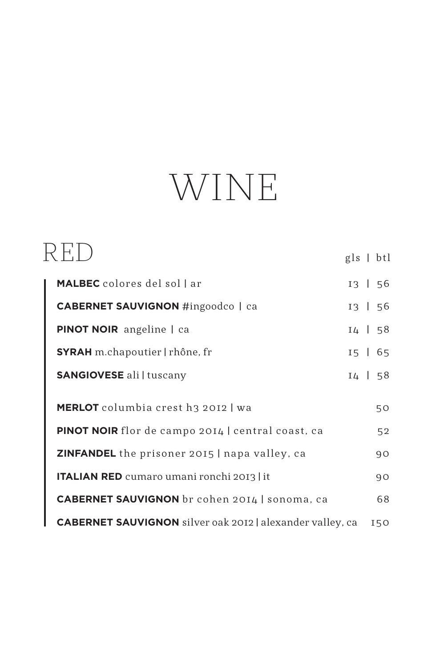# WINE

|                                                                  | $gls$   btl  |
|------------------------------------------------------------------|--------------|
| <b>MALBEC</b> colores del sol l ar                               | $13 \mid 56$ |
| <b>CABERNET SAUVIGNON</b> #ingoodco   ca                         | $13 \mid 56$ |
| <b>PINOT NOIR</b> angeline   ca                                  | 14   58      |
| <b>SYRAH</b> m.chapoutier   rhône, fr                            | $15 \mid 65$ |
| <b>SANGIOVESE</b> ali   tuscany                                  | $14 \mid 58$ |
| <b>MERLOT</b> columbia crest h3 2012 wa                          | 50           |
| PINOT NOIR flor de campo 2014   central coast, ca                | 52           |
| <b>ZINFANDEL</b> the prisoner 2015   napa valley, ca             | 90           |
| <b>ITALIAN RED</b> cumaro umani ronchi 2013   it                 | 90           |
| <b>CABERNET SAUVIGNON</b> br cohen 2014   sonoma, ca             | 68           |
| <b>CABERNET SAUVIGNON</b> silver oak 2012   alexander valley, ca | 150          |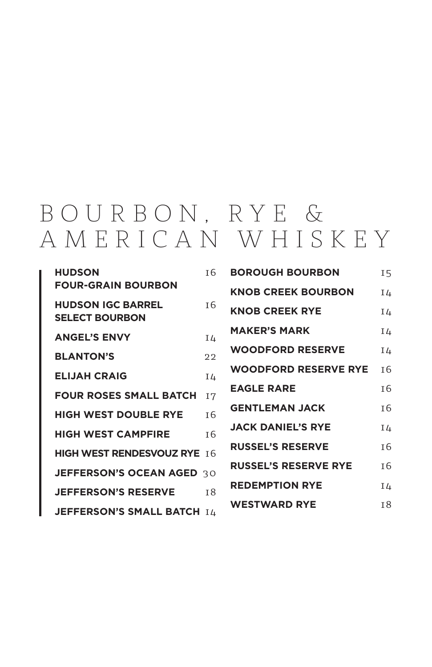#### B O U R B O N , R Y E & AMERICAN WHISKEY

| <b>HUDSON</b><br><b>FOUR-GRAIN BOURBON</b>        | T 6            |
|---------------------------------------------------|----------------|
| <b>HUDSON IGC BARREL</b><br><b>SELECT BOURBON</b> | тĥ             |
| <b>ANGEL'S ENVY</b>                               | I4             |
| <b>BLANTON'S</b>                                  | 22             |
| <b>ELIJAH CRAIG</b>                               | I4             |
| <b>FOUR ROSES SMALL BATCH</b>                     | <b>I7</b>      |
| <b>HIGH WEST DOUBLE RYE</b>                       | T <sub>6</sub> |
| <b>HIGH WEST CAMPFIRE</b>                         | T <sub>6</sub> |
| <b>HIGH WEST RENDESVOUZ RYE 16</b>                |                |
| JEFFERSON'S OCEAN AGED 30                         |                |
| <b>JEFFERSON'S RESERVE</b>                        | 18             |
| <b>JEFFERSON'S SMALL BATCH ILL</b>                |                |

| <b>BOROUGH BOURBON</b>      | 15             |
|-----------------------------|----------------|
| <b>KNOB CREEK BOURBON</b>   | I4             |
| <b>KNOB CREEK RYE</b>       | I4             |
| <b>MAKER'S MARK</b>         | I4             |
| <b>WOODFORD RESERVE</b>     | I4             |
| <b>WOODFORD RESERVE RYE</b> | T <sub>6</sub> |
| <b>EAGLE RARE</b>           | T 6            |
| <b>GENTLEMAN JACK</b>       | T 6            |
| <b>JACK DANIEL'S RYE</b>    | Ι4             |
| <b>RUSSEL'S RESERVE</b>     | тĥ             |
| <b>RUSSEL'S RESERVE RYE</b> | T <sub>6</sub> |
| <b>REDEMPTION RYE</b>       | Iδ             |
| <b>WESTWARD RYE</b>         | T <sup>8</sup> |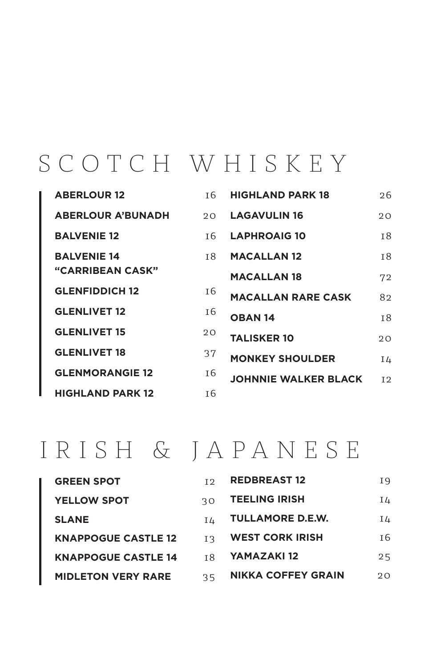#### SCOTCH WHISKEY

| <b>ABERLOUR 12</b>       | T 6            | <b>HIGHLAND PARK 18</b>     | 26        |
|--------------------------|----------------|-----------------------------|-----------|
| <b>ABERLOUR A'BUNADH</b> | $20^{\circ}$   | <b>LAGAVULIN 16</b>         | 20        |
| <b>BALVENIE 12</b>       | T 6            | <b>LAPHROAIG 10</b>         | <b>18</b> |
| <b>BALVENIE 14</b>       | т8             | <b>MACALLAN 12</b>          | <b>18</b> |
| <b>"CARRIBEAN CASK"</b>  |                | <b>MACALLAN 18</b>          | 72        |
| <b>GLENFIDDICH 12</b>    | I 6            | <b>MACALLAN RARE CASK</b>   | 82        |
| <b>GLENLIVET 12</b>      | I 6            | <b>OBAN 14</b>              | <b>18</b> |
| <b>GLENLIVET 15</b>      | 20             | <b>TALISKER 10</b>          | 20        |
| <b>GLENLIVET 18</b>      | 37             | <b>MONKEY SHOULDER</b>      | I4        |
| <b>GLENMORANGIE 12</b>   | I 6            | <b>JOHNNIE WALKER BLACK</b> | 12        |
| <b>HIGHLAND PARK 12</b>  | T <sub>6</sub> |                             |           |

#### IRISH & JA PA NESE

| <b>GREEN SPOT</b>          | T 9 | <b>REDBREAST 12</b>       | Ι9  |
|----------------------------|-----|---------------------------|-----|
| <b>YELLOW SPOT</b>         | 3O  | <b>TEELING IRISH</b>      | Ι4  |
| <b>SLANE</b>               | IΔ  | <b>TULLAMORE D.E.W.</b>   | Ι4  |
| <b>KNAPPOGUE CASTLE 12</b> | T R | <b>WEST CORK IRISH</b>    | I 6 |
| <b>KNAPPOGUE CASTLE 14</b> | тR  | YAMAZAKI 12               | 25  |
| <b>MIDLETON VERY RARE</b>  | 35  | <b>NIKKA COFFEY GRAIN</b> | 20  |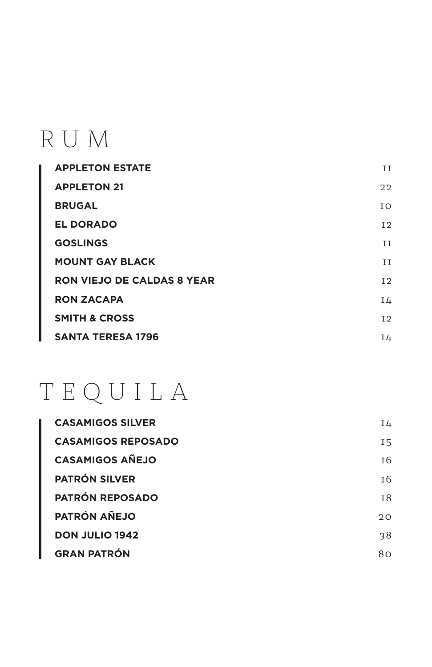### RUM

| <b>APPLETON ESTATE</b>            | ΙI  |
|-----------------------------------|-----|
| <b>APPLETON 21</b>                | 22  |
| <b>BRUGAL</b>                     | T O |
| <b>EL DORADO</b>                  | 12  |
| <b>GOSLINGS</b>                   | ΙI  |
| <b>MOUNT GAY BLACK</b>            | ΙI  |
| <b>RON VIEJO DE CALDAS 8 YEAR</b> | 12  |
| <b>RON ZACAPA</b>                 | I4  |
| <b>SMITH &amp; CROSS</b>          | 12  |
| <b>SANTA TERESA 1796</b>          | I4  |

### TEQUILA

| <b>CASAMIGOS SILVER</b>   | I4  |
|---------------------------|-----|
| <b>CASAMIGOS REPOSADO</b> | I 5 |
| <b>CASAMIGOS AÑEJO</b>    | I 6 |
| <b>PATRÓN SILVER</b>      | I 6 |
| <b>PATRÓN REPOSADO</b>    | 18  |
| <b>PATRÓN AÑEJO</b>       | 20  |
| <b>DON JULIO 1942</b>     | 38  |
| <b>GRAN PATRÓN</b>        | 80  |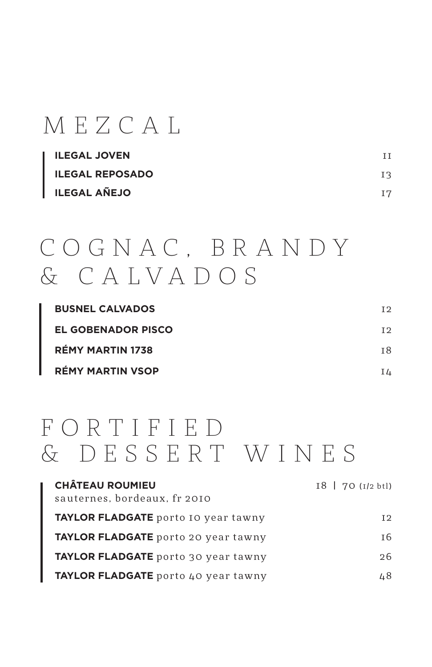#### MEZCAL

| <b>ILEGAL JOVEN</b>    | TΤ  |
|------------------------|-----|
| <b>ILEGAL REPOSADO</b> | ΙR  |
| <b>ILEGAL AÑEJO</b>    | T 7 |

#### C O G N A C , B R A N D Y & C A LVA D OS

| <b>BUSNEL CALVADOS</b>    | T 2 |
|---------------------------|-----|
| <b>EL GOBENADOR PISCO</b> | T 2 |
| <b>RÉMY MARTIN 1738</b>   | T 8 |
| <b>RÉMY MARTIN VSOP</b>   | IΔ  |

#### F O R T I F I E D & DESSERT WINES

| <b>CHÂTEAU ROUMIEU</b>              | $18$   70 ( $1/2$ btl) |
|-------------------------------------|------------------------|
| sauternes, bordeaux, fr 2010        |                        |
| TAYLOR FLADGATE porto 10 year tawny | 12                     |
| TAYLOR FLADGATE porto 20 year tawny | I 6                    |
| TAYLOR FLADGATE porto 30 year tawny | 26                     |
| TAYLOR FLADGATE porto 40 year tawny | 48                     |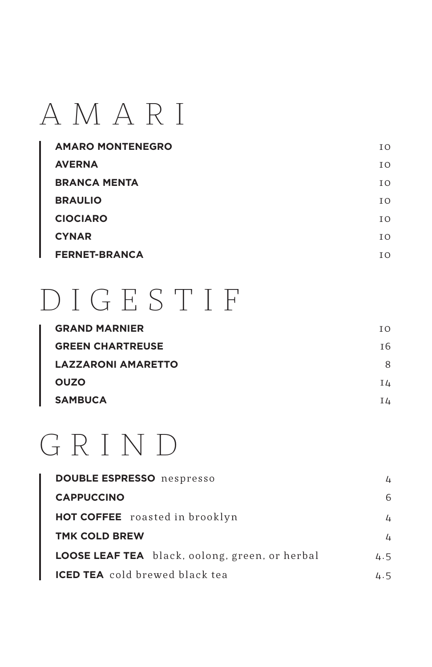### AMARI

| <b>AMARO MONTENEGRO</b> | T O |
|-------------------------|-----|
| <b>AVERNA</b>           | T O |
| <b>BRANCA MENTA</b>     | T O |
| <b>BRAULIO</b>          | T O |
| <b>CIOCIARO</b>         | T O |
| <b>CYNAR</b>            | T O |
| <b>FERNET-BRANCA</b>    | I O |

### DIGESTIF

| <b>GRAND MARNIER</b>      | T O |
|---------------------------|-----|
| <b>GREEN CHARTREUSE</b>   | I 6 |
| <b>LAZZARONI AMARETTO</b> | 8   |
| <b>OUZO</b>               | Ι4  |
| <b>SAMBUCA</b>            | I4  |

### GRIND

| <b>DOUBLE ESPRESSO</b> nespresso               | 4   |
|------------------------------------------------|-----|
| <b>CAPPUCCINO</b>                              | 6   |
| <b>HOT COFFEE</b> roasted in brooklyn          | 4   |
| <b>TMK COLD BREW</b>                           | 4   |
| LOOSE LEAF TEA black, oolong, green, or herbal | 4.5 |
| <b>ICED TEA</b> cold brewed black tea          | 4.5 |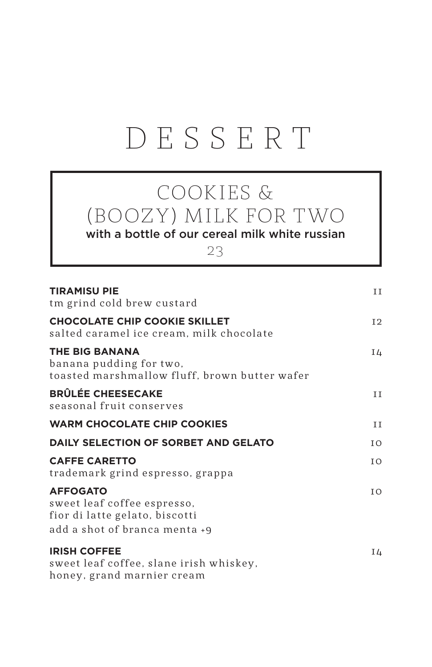### DESSERT

#### COOKIES & (BOOZY) MILK FOR TWO

with a bottle of our cereal milk white russian

23

| <b>TIRAMISU PIE</b><br>tm grind cold brew custard                                                                 | II             |
|-------------------------------------------------------------------------------------------------------------------|----------------|
| <b>CHOCOLATE CHIP COOKIE SKILLET</b><br>salted caramel ice cream, milk chocolate                                  | I <sub>2</sub> |
| <b>THE BIG BANANA</b><br>banana pudding for two,<br>toasted marshmallow fluff, brown butter wafer                 | I4             |
| <b>BRÛLÉE CHEESECAKE</b><br>seasonal fruit conserves                                                              | II             |
| <b>WARM CHOCOLATE CHIP COOKIES</b>                                                                                | ΙI             |
| DAILY SELECTION OF SORBET AND GELATO                                                                              | ΙO             |
| <b>CAFFE CARETTO</b><br>trademark grind espresso, grappa                                                          | IO.            |
| <b>AFFOGATO</b><br>sweet leaf coffee espresso,<br>fior di latte gelato, biscotti<br>add a shot of branca menta +9 | I O            |
| <b>IRISH COFFEE</b><br>sweet leaf coffee, slane irish whiskey,<br>honey, grand marnier cream                      | I4             |